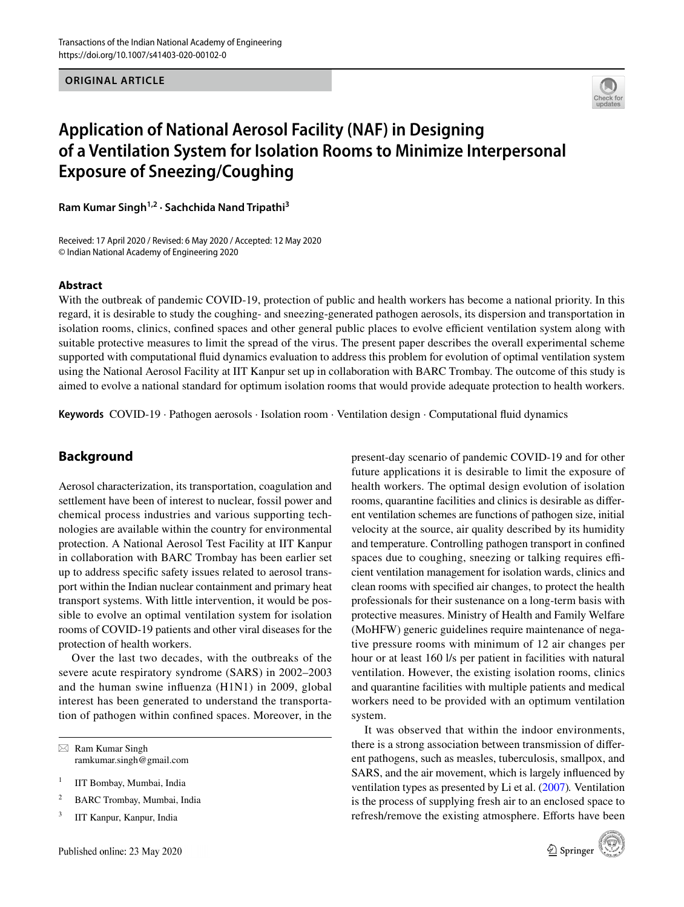**ORIGINAL ARTICLE**



# **Application of National Aerosol Facility (NAF) in Designing of a Ventilation System for Isolation Rooms to Minimize Interpersonal Exposure of Sneezing/Coughing**

**Ram Kumar Singh1,2 · Sachchida Nand Tripathi3**

Received: 17 April 2020 / Revised: 6 May 2020 / Accepted: 12 May 2020 © Indian National Academy of Engineering 2020

#### **Abstract**

With the outbreak of pandemic COVID-19, protection of public and health workers has become a national priority. In this regard, it is desirable to study the coughing- and sneezing-generated pathogen aerosols, its dispersion and transportation in isolation rooms, clinics, confined spaces and other general public places to evolve efficient ventilation system along with suitable protective measures to limit the spread of the virus. The present paper describes the overall experimental scheme supported with computational fuid dynamics evaluation to address this problem for evolution of optimal ventilation system using the National Aerosol Facility at IIT Kanpur set up in collaboration with BARC Trombay. The outcome of this study is aimed to evolve a national standard for optimum isolation rooms that would provide adequate protection to health workers.

**Keywords** COVID-19 · Pathogen aerosols · Isolation room · Ventilation design · Computational fuid dynamics

## **Background**

Aerosol characterization, its transportation, coagulation and settlement have been of interest to nuclear, fossil power and chemical process industries and various supporting technologies are available within the country for environmental protection. A National Aerosol Test Facility at IIT Kanpur in collaboration with BARC Trombay has been earlier set up to address specifc safety issues related to aerosol transport within the Indian nuclear containment and primary heat transport systems. With little intervention, it would be possible to evolve an optimal ventilation system for isolation rooms of COVID-19 patients and other viral diseases for the protection of health workers.

Over the last two decades, with the outbreaks of the severe acute respiratory syndrome (SARS) in 2002–2003 and the human swine infuenza (H1N1) in 2009, global interest has been generated to understand the transportation of pathogen within confned spaces. Moreover, in the

 $\boxtimes$  Ram Kumar Singh ramkumar.singh@gmail.com

<sup>1</sup> IIT Bombay, Mumbai, India

- <sup>2</sup> BARC Trombay, Mumbai, India
- <sup>3</sup> IIT Kanpur, Kanpur, India

present-day scenario of pandemic COVID-19 and for other future applications it is desirable to limit the exposure of health workers. The optimal design evolution of isolation rooms, quarantine facilities and clinics is desirable as diferent ventilation schemes are functions of pathogen size, initial velocity at the source, air quality described by its humidity and temperature. Controlling pathogen transport in confned spaces due to coughing, sneezing or talking requires efficient ventilation management for isolation wards, clinics and clean rooms with specifed air changes, to protect the health professionals for their sustenance on a long-term basis with protective measures. Ministry of Health and Family Welfare (MoHFW) generic guidelines require maintenance of negative pressure rooms with minimum of 12 air changes per hour or at least 160 l/s per patient in facilities with natural ventilation. However, the existing isolation rooms, clinics and quarantine facilities with multiple patients and medical workers need to be provided with an optimum ventilation system.

It was observed that within the indoor environments, there is a strong association between transmission of diferent pathogens, such as measles, tuberculosis, smallpox, and SARS, and the air movement, which is largely infuenced by ventilation types as presented by Li et al. [\(2007](#page-3-0))*.* Ventilation is the process of supplying fresh air to an enclosed space to refresh/remove the existing atmosphere. Efforts have been

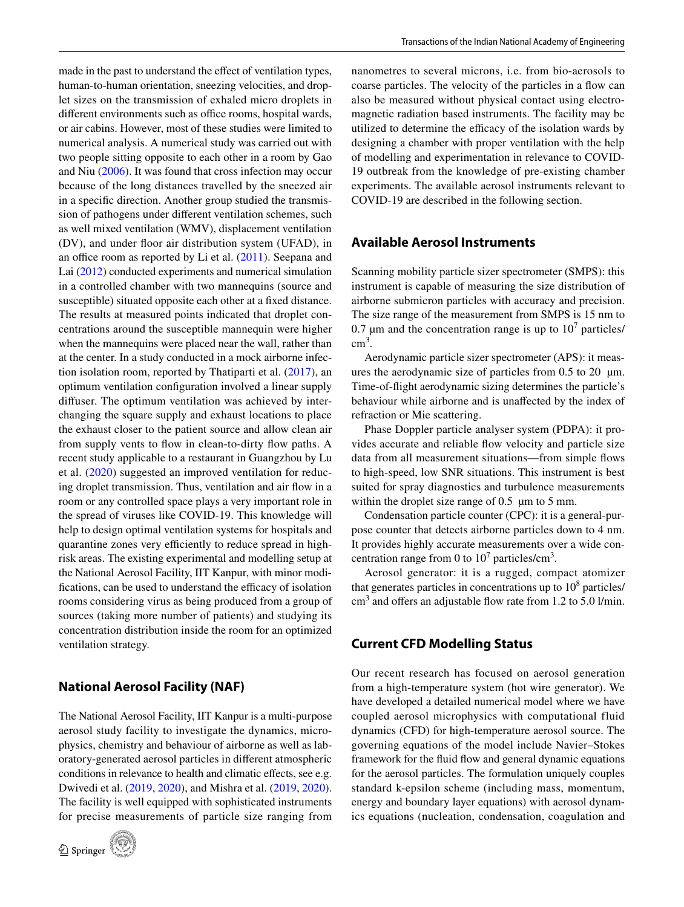made in the past to understand the effect of ventilation types, human-to-human orientation, sneezing velocities, and droplet sizes on the transmission of exhaled micro droplets in different environments such as office rooms, hospital wards, or air cabins. However, most of these studies were limited to numerical analysis. A numerical study was carried out with two people sitting opposite to each other in a room by Gao and Niu ([2006\)](#page-3-1). It was found that cross infection may occur because of the long distances travelled by the sneezed air in a specifc direction. Another group studied the transmission of pathogens under diferent ventilation schemes, such as well mixed ventilation (WMV), displacement ventilation (DV), and under foor air distribution system (UFAD), in an office room as reported by Li et al.  $(2011)$  $(2011)$ . Seepana and Lai ([2012\)](#page-3-3) conducted experiments and numerical simulation in a controlled chamber with two mannequins (source and susceptible) situated opposite each other at a fixed distance. The results at measured points indicated that droplet concentrations around the susceptible mannequin were higher when the mannequins were placed near the wall, rather than at the center. In a study conducted in a mock airborne infection isolation room, reported by Thatiparti et al. ([2017](#page-3-4)), an optimum ventilation confguration involved a linear supply difuser. The optimum ventilation was achieved by interchanging the square supply and exhaust locations to place the exhaust closer to the patient source and allow clean air from supply vents to flow in clean-to-dirty flow paths. A recent study applicable to a restaurant in Guangzhou by Lu et al. ([2020](#page-3-5)) suggested an improved ventilation for reducing droplet transmission. Thus, ventilation and air fow in a room or any controlled space plays a very important role in the spread of viruses like COVID-19. This knowledge will help to design optimal ventilation systems for hospitals and quarantine zones very efficiently to reduce spread in highrisk areas. The existing experimental and modelling setup at the National Aerosol Facility, IIT Kanpur, with minor modifications, can be used to understand the efficacy of isolation rooms considering virus as being produced from a group of sources (taking more number of patients) and studying its concentration distribution inside the room for an optimized ventilation strategy.

#### **National Aerosol Facility (NAF)**

The National Aerosol Facility, IIT Kanpur is a multi-purpose aerosol study facility to investigate the dynamics, microphysics, chemistry and behaviour of airborne as well as laboratory-generated aerosol particles in diferent atmospheric conditions in relevance to health and climatic effects, see e.g. Dwivedi et al. ([2019,](#page-3-6) [2020\)](#page-3-7), and Mishra et al. [\(2019](#page-3-8), [2020](#page-3-9)). The facility is well equipped with sophisticated instruments for precise measurements of particle size ranging from



nanometres to several microns, i.e. from bio-aerosols to coarse particles. The velocity of the particles in a fow can also be measured without physical contact using electromagnetic radiation based instruments. The facility may be utilized to determine the efficacy of the isolation wards by designing a chamber with proper ventilation with the help of modelling and experimentation in relevance to COVID-19 outbreak from the knowledge of pre-existing chamber experiments. The available aerosol instruments relevant to COVID-19 are described in the following section.

#### **Available Aerosol Instruments**

Scanning mobility particle sizer spectrometer (SMPS): this instrument is capable of measuring the size distribution of airborne submicron particles with accuracy and precision. The size range of the measurement from SMPS is 15 nm to 0.7  $\mu$ m and the concentration range is up to 10<sup>7</sup> particles/  $\text{cm}^3$ .

Aerodynamic particle sizer spectrometer (APS): it measures the aerodynamic size of particles from  $0.5$  to  $20 \mu m$ . Time-of-fight aerodynamic sizing determines the particle's behaviour while airborne and is unafected by the index of refraction or Mie scattering.

Phase Doppler particle analyser system (PDPA): it provides accurate and reliable fow velocity and particle size data from all measurement situations—from simple fows to high-speed, low SNR situations. This instrument is best suited for spray diagnostics and turbulence measurements within the droplet size range of  $0.5 \mu m$  to  $5 \mu m$ .

Condensation particle counter (CPC): it is a general-purpose counter that detects airborne particles down to 4 nm. It provides highly accurate measurements over a wide concentration range from 0 to  $10^7$  particles/cm<sup>3</sup>.

Aerosol generator: it is a rugged, compact atomizer that generates particles in concentrations up to  $10^8$  particles/  $\text{cm}^3$  and offers an adjustable flow rate from 1.2 to 5.0 l/min.

## **Current CFD Modelling Status**

Our recent research has focused on aerosol generation from a high-temperature system (hot wire generator). We have developed a detailed numerical model where we have coupled aerosol microphysics with computational fluid dynamics (CFD) for high-temperature aerosol source. The governing equations of the model include Navier–Stokes framework for the fuid fow and general dynamic equations for the aerosol particles. The formulation uniquely couples standard k-epsilon scheme (including mass, momentum, energy and boundary layer equations) with aerosol dynamics equations (nucleation, condensation, coagulation and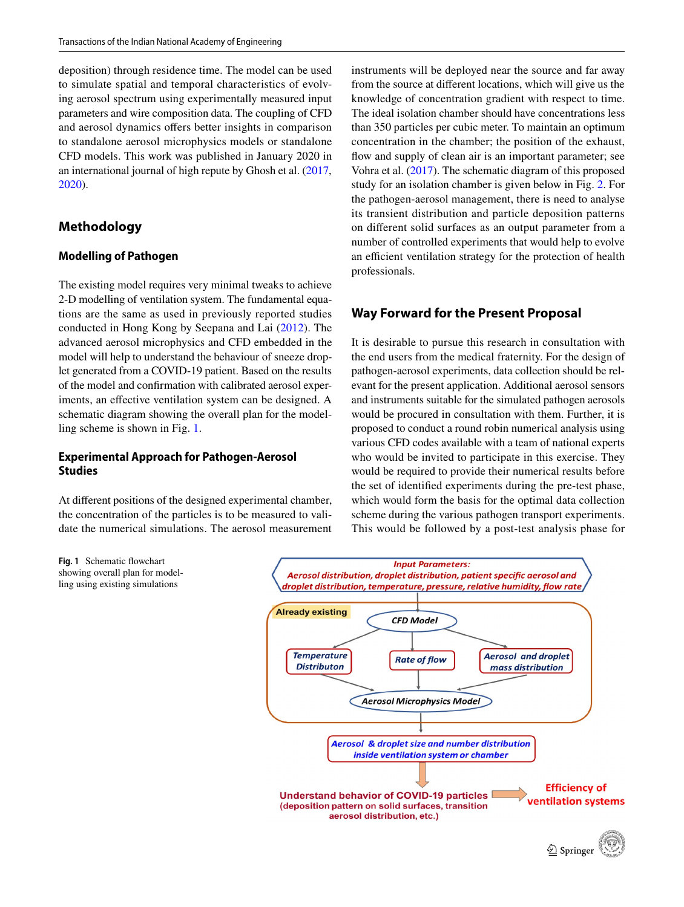deposition) through residence time. The model can be used to simulate spatial and temporal characteristics of evolving aerosol spectrum using experimentally measured input parameters and wire composition data. The coupling of CFD and aerosol dynamics offers better insights in comparison to standalone aerosol microphysics models or standalone CFD models. This work was published in January 2020 in an international journal of high repute by Ghosh et al. ([2017,](#page-3-10) [2020](#page-3-11)).

## **Methodology**

#### **Modelling of Pathogen**

The existing model requires very minimal tweaks to achieve 2-D modelling of ventilation system. The fundamental equations are the same as used in previously reported studies conducted in Hong Kong by Seepana and Lai [\(2012\)](#page-3-3). The advanced aerosol microphysics and CFD embedded in the model will help to understand the behaviour of sneeze droplet generated from a COVID-19 patient. Based on the results of the model and confrmation with calibrated aerosol experiments, an effective ventilation system can be designed. A schematic diagram showing the overall plan for the modelling scheme is shown in Fig. [1](#page-2-0).

#### **Experimental Approach for Pathogen‑Aerosol Studies**

At diferent positions of the designed experimental chamber, the concentration of the particles is to be measured to validate the numerical simulations. The aerosol measurement

instruments will be deployed near the source and far away from the source at diferent locations, which will give us the knowledge of concentration gradient with respect to time. The ideal isolation chamber should have concentrations less than 350 particles per cubic meter. To maintain an optimum concentration in the chamber; the position of the exhaust, flow and supply of clean air is an important parameter; see Vohra et al. [\(2017](#page-4-0)). The schematic diagram of this proposed study for an isolation chamber is given below in Fig. [2](#page-3-12). For the pathogen-aerosol management, there is need to analyse its transient distribution and particle deposition patterns on diferent solid surfaces as an output parameter from a number of controlled experiments that would help to evolve an efficient ventilation strategy for the protection of health professionals.

## **Way Forward for the Present Proposal**

It is desirable to pursue this research in consultation with the end users from the medical fraternity. For the design of pathogen-aerosol experiments, data collection should be relevant for the present application. Additional aerosol sensors and instruments suitable for the simulated pathogen aerosols would be procured in consultation with them. Further, it is proposed to conduct a round robin numerical analysis using various CFD codes available with a team of national experts who would be invited to participate in this exercise. They would be required to provide their numerical results before the set of identifed experiments during the pre-test phase, which would form the basis for the optimal data collection scheme during the various pathogen transport experiments. This would be followed by a post-test analysis phase for



<span id="page-2-0"></span>**Fig. 1** Schematic fowchart showing overall plan for modelling using existing simulations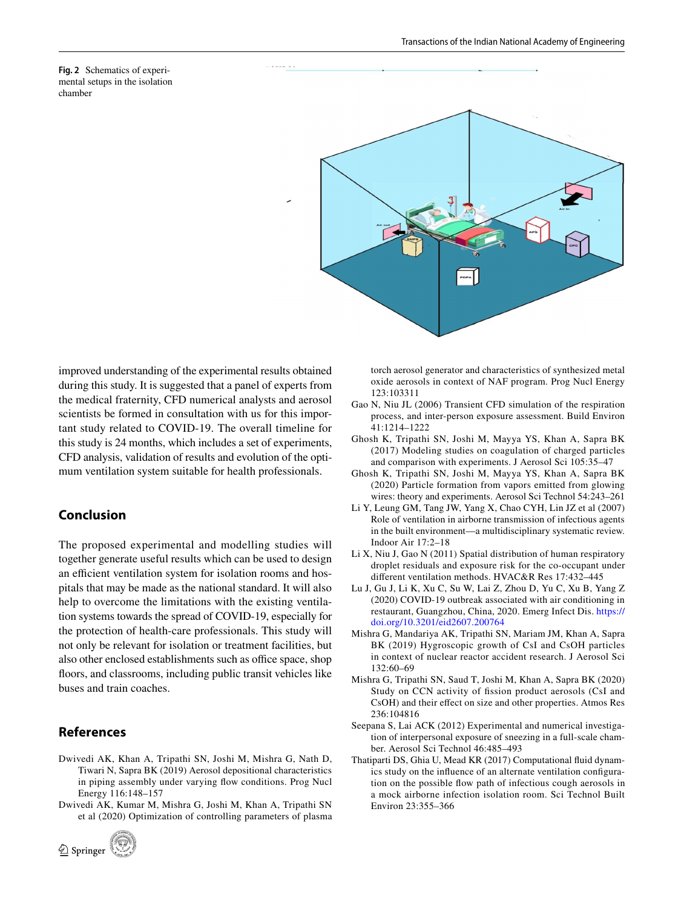<span id="page-3-12"></span>**Fig. 2** Schematics of experimental setups in the isolation chamber



improved understanding of the experimental results obtained during this study. It is suggested that a panel of experts from the medical fraternity, CFD numerical analysts and aerosol scientists be formed in consultation with us for this important study related to COVID-19. The overall timeline for this study is 24 months, which includes a set of experiments, CFD analysis, validation of results and evolution of the optimum ventilation system suitable for health professionals.

#### **Conclusion**

The proposed experimental and modelling studies will together generate useful results which can be used to design an efficient ventilation system for isolation rooms and hospitals that may be made as the national standard. It will also help to overcome the limitations with the existing ventilation systems towards the spread of COVID-19, especially for the protection of health-care professionals. This study will not only be relevant for isolation or treatment facilities, but also other enclosed establishments such as office space, shop foors, and classrooms, including public transit vehicles like buses and train coaches.

#### **References**

- <span id="page-3-6"></span>Dwivedi AK, Khan A, Tripathi SN, Joshi M, Mishra G, Nath D, Tiwari N, Sapra BK (2019) Aerosol depositional characteristics in piping assembly under varying flow conditions. Prog Nucl Energy 116:148–157
- <span id="page-3-7"></span>Dwivedi AK, Kumar M, Mishra G, Joshi M, Khan A, Tripathi SN et al (2020) Optimization of controlling parameters of plasma



torch aerosol generator and characteristics of synthesized metal oxide aerosols in context of NAF program. Prog Nucl Energy 123:103311

- <span id="page-3-1"></span>Gao N, Niu JL (2006) Transient CFD simulation of the respiration process, and inter-person exposure assessment. Build Environ 41:1214–1222
- <span id="page-3-10"></span>Ghosh K, Tripathi SN, Joshi M, Mayya YS, Khan A, Sapra BK (2017) Modeling studies on coagulation of charged particles and comparison with experiments. J Aerosol Sci 105:35–47
- <span id="page-3-11"></span>Ghosh K, Tripathi SN, Joshi M, Mayya YS, Khan A, Sapra BK (2020) Particle formation from vapors emitted from glowing wires: theory and experiments. Aerosol Sci Technol 54:243–261
- <span id="page-3-0"></span>Li Y, Leung GM, Tang JW, Yang X, Chao CYH, Lin JZ et al (2007) Role of ventilation in airborne transmission of infectious agents in the built environment—a multidisciplinary systematic review. Indoor Air 17:2–18
- <span id="page-3-2"></span>Li X, Niu J, Gao N (2011) Spatial distribution of human respiratory droplet residuals and exposure risk for the co-occupant under diferent ventilation methods. HVAC&R Res 17:432–445
- <span id="page-3-5"></span>Lu J, Gu J, Li K, Xu C, Su W, Lai Z, Zhou D, Yu C, Xu B, Yang Z (2020) COVID-19 outbreak associated with air conditioning in restaurant, Guangzhou, China, 2020. Emerg Infect Dis. [https://](https://doi.org/10.3201/eid2607.200764) [doi.org/10.3201/eid2607.200764](https://doi.org/10.3201/eid2607.200764)
- <span id="page-3-8"></span>Mishra G, Mandariya AK, Tripathi SN, Mariam JM, Khan A, Sapra BK (2019) Hygroscopic growth of CsI and CsOH particles in context of nuclear reactor accident research. J Aerosol Sci 132:60–69
- <span id="page-3-9"></span>Mishra G, Tripathi SN, Saud T, Joshi M, Khan A, Sapra BK (2020) Study on CCN activity of fssion product aerosols (CsI and CsOH) and their efect on size and other properties. Atmos Res 236:104816
- <span id="page-3-3"></span>Seepana S, Lai ACK (2012) Experimental and numerical investigation of interpersonal exposure of sneezing in a full-scale chamber. Aerosol Sci Technol 46:485–493
- <span id="page-3-4"></span>Thatiparti DS, Ghia U, Mead KR (2017) Computational fuid dynamics study on the infuence of an alternate ventilation confguration on the possible fow path of infectious cough aerosols in a mock airborne infection isolation room. Sci Technol Built Environ 23:355–366